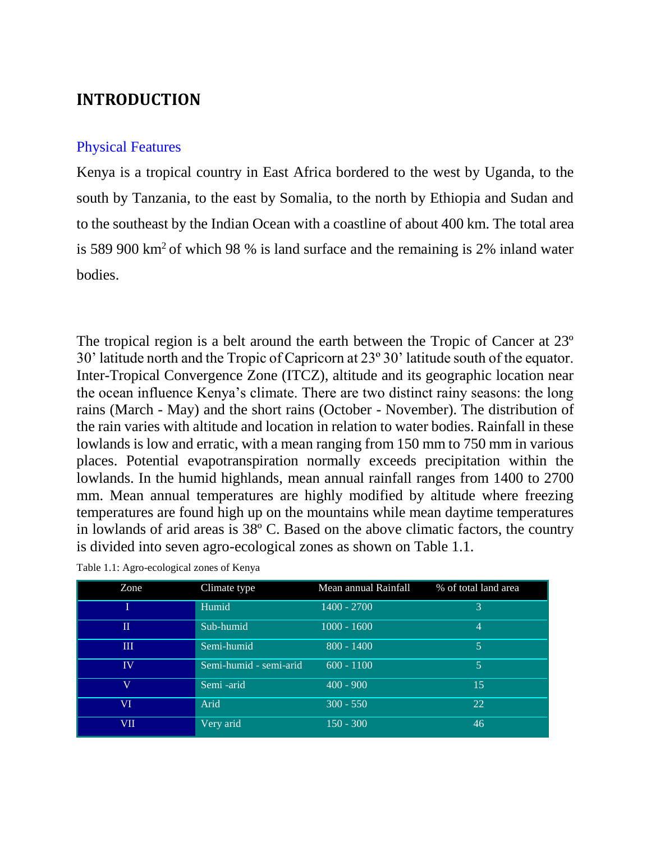## **INTRODUCTION**

## Physical Features

Kenya is a tropical country in East Africa bordered to the west by Uganda, to the south by Tanzania, to the east by Somalia, to the north by Ethiopia and Sudan and to the southeast by the Indian Ocean with a coastline of about 400 km. The total area is 589 900 km<sup>2</sup> of which 98 % is land surface and the remaining is 2% inland water bodies.

The tropical region is a belt around the earth between the Tropic of Cancer at 23º 30' latitude north and the Tropic of Capricorn at 23º 30' latitude south of the equator. Inter-Tropical Convergence Zone (ITCZ), altitude and its geographic location near the ocean influence Kenya's climate. There are two distinct rainy seasons: the long rains (March - May) and the short rains (October - November). The distribution of the rain varies with altitude and location in relation to water bodies. Rainfall in these lowlands is low and erratic, with a mean ranging from 150 mm to 750 mm in various places. Potential evapotranspiration normally exceeds precipitation within the lowlands. In the humid highlands, mean annual rainfall ranges from 1400 to 2700 mm. Mean annual temperatures are highly modified by altitude where freezing temperatures are found high up on the mountains while mean daytime temperatures in lowlands of arid areas is 38º C. Based on the above climatic factors, the country is divided into seven agro-ecological zones as shown on Table 1.1.

| Zone                 | Climate type           | Mean annual Rainfall | % of total land area |
|----------------------|------------------------|----------------------|----------------------|
|                      | Humid                  | 1400 - 2700          | 3                    |
| $\scriptstyle\rm II$ | Sub-humid              | $1000 - 1600$        | 4                    |
| $\mathbf{I}$         | Semi-humid             | $800 - 1400$         | 5                    |
| <b>IV</b>            | Semi-humid - semi-arid | $600 - 1100$         | 5                    |
| $\rm{V}$             | Semi -arid             | $400 - 900$          | 15                   |
| VI                   | Arid                   | $300 - 550$          | 22                   |
| VII                  | Very arid              | $150 - 300$          | 46                   |

Table 1.1: Agro-ecological zones of Kenya